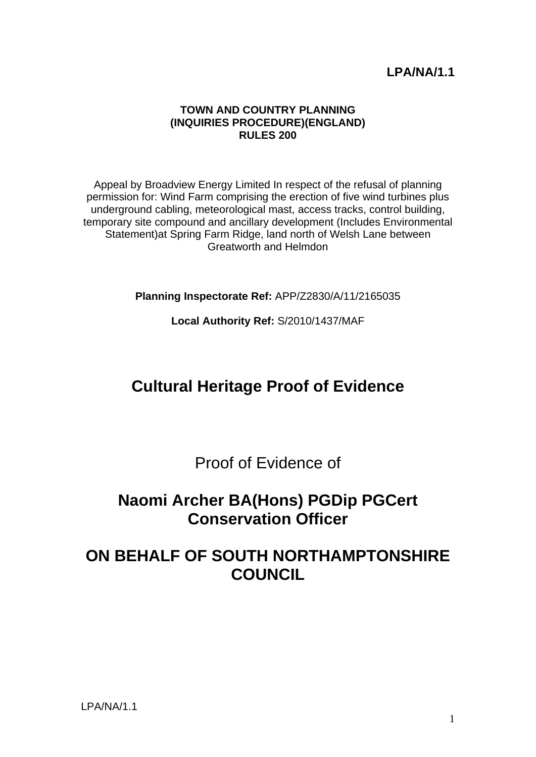## **LPA/NA/1.1**

#### **TOWN AND COUNTRY PLANNING (INQUIRIES PROCEDURE)(ENGLAND) RULES 200**

Appeal by Broadview Energy Limited In respect of the refusal of planning permission for: Wind Farm comprising the erection of five wind turbines plus underground cabling, meteorological mast, access tracks, control building, temporary site compound and ancillary development (Includes Environmental Statement)at Spring Farm Ridge, land north of Welsh Lane between Greatworth and Helmdon

**Planning Inspectorate Ref:** APP/Z2830/A/11/2165035

**Local Authority Ref:** S/2010/1437/MAF

# **Cultural Heritage Proof of Evidence**

Proof of Evidence of

## **Naomi Archer BA(Hons) PGDip PGCert Conservation Officer**

# **ON BEHALF OF SOUTH NORTHAMPTONSHIRE COUNCIL**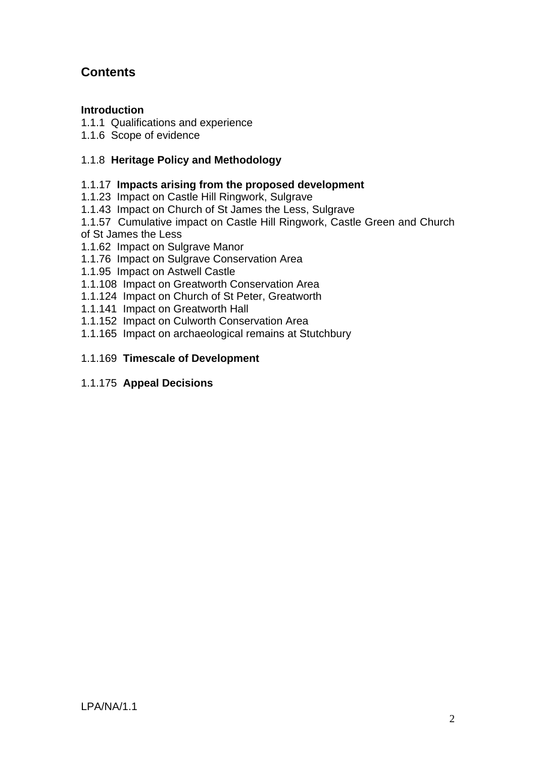## **Contents**

## **Introduction**

- 1.1.1 Qualifications and experience
- 1.1.6 Scope of evidence

## 1.1.8 **Heritage Policy and Methodology**

## 1.1.17 **Impacts arising from the proposed development**

- 1.1.23 Impact on Castle Hill Ringwork, Sulgrave
- 1.1.43 Impact on Church of St James the Less, Sulgrave
- 1.1.57 Cumulative impact on Castle Hill Ringwork, Castle Green and Church of St James the Less
- 1.1.62 Impact on Sulgrave Manor
- 1.1.76 Impact on Sulgrave Conservation Area
- 1.1.95 Impact on Astwell Castle
- 1.1.108 Impact on Greatworth Conservation Area
- 1.1.124 Impact on Church of St Peter, Greatworth
- 1.1.141 Impact on Greatworth Hall
- 1.1.152 Impact on Culworth Conservation Area
- 1.1.165 Impact on archaeological remains at Stutchbury

## 1.1.169 **Timescale of Development**

## 1.1.175 **Appeal Decisions**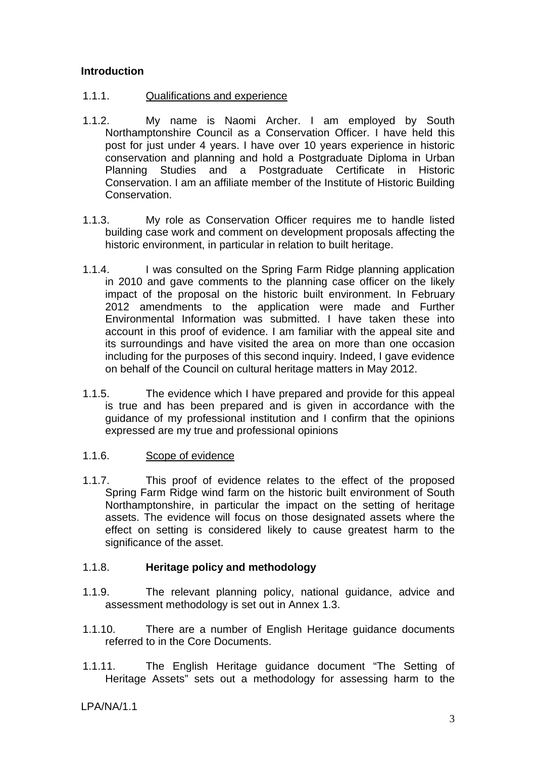## **Introduction**

- 1.1.1. Qualifications and experience
- 1.1.2. My name is Naomi Archer. I am employed by South Northamptonshire Council as a Conservation Officer. I have held this post for just under 4 years. I have over 10 years experience in historic conservation and planning and hold a Postgraduate Diploma in Urban Planning Studies and a Postgraduate Certificate in Historic Conservation. I am an affiliate member of the Institute of Historic Building Conservation.
- 1.1.3. My role as Conservation Officer requires me to handle listed building case work and comment on development proposals affecting the historic environment, in particular in relation to built heritage.
- 1.1.4. I was consulted on the Spring Farm Ridge planning application in 2010 and gave comments to the planning case officer on the likely impact of the proposal on the historic built environment. In February 2012 amendments to the application were made and Further Environmental Information was submitted. I have taken these into account in this proof of evidence. I am familiar with the appeal site and its surroundings and have visited the area on more than one occasion including for the purposes of this second inquiry. Indeed, I gave evidence on behalf of the Council on cultural heritage matters in May 2012.
- 1.1.5. The evidence which I have prepared and provide for this appeal is true and has been prepared and is given in accordance with the guidance of my professional institution and I confirm that the opinions expressed are my true and professional opinions
- 1.1.6. Scope of evidence
- 1.1.7. This proof of evidence relates to the effect of the proposed Spring Farm Ridge wind farm on the historic built environment of South Northamptonshire, in particular the impact on the setting of heritage assets. The evidence will focus on those designated assets where the effect on setting is considered likely to cause greatest harm to the significance of the asset.

## 1.1.8. **Heritage policy and methodology**

- 1.1.9. The relevant planning policy, national guidance, advice and assessment methodology is set out in Annex 1.3.
- 1.1.10. There are a number of English Heritage guidance documents referred to in the Core Documents.
- 1.1.11. The English Heritage guidance document "The Setting of Heritage Assets" sets out a methodology for assessing harm to the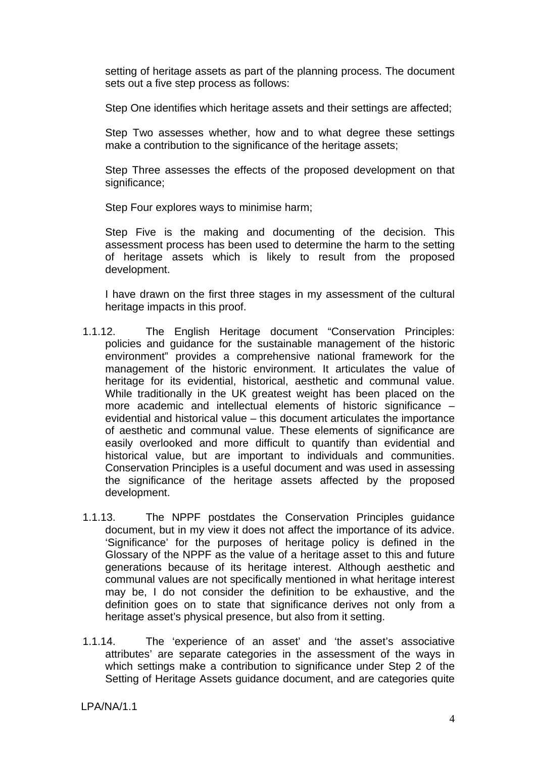setting of heritage assets as part of the planning process. The document sets out a five step process as follows:

Step One identifies which heritage assets and their settings are affected;

Step Two assesses whether, how and to what degree these settings make a contribution to the significance of the heritage assets:

Step Three assesses the effects of the proposed development on that significance:

Step Four explores ways to minimise harm;

Step Five is the making and documenting of the decision. This assessment process has been used to determine the harm to the setting of heritage assets which is likely to result from the proposed development.

I have drawn on the first three stages in my assessment of the cultural heritage impacts in this proof.

- 1.1.12. The English Heritage document "Conservation Principles: policies and guidance for the sustainable management of the historic environment" provides a comprehensive national framework for the management of the historic environment. It articulates the value of heritage for its evidential, historical, aesthetic and communal value. While traditionally in the UK greatest weight has been placed on the more academic and intellectual elements of historic significance – evidential and historical value – this document articulates the importance of aesthetic and communal value. These elements of significance are easily overlooked and more difficult to quantify than evidential and historical value, but are important to individuals and communities. Conservation Principles is a useful document and was used in assessing the significance of the heritage assets affected by the proposed development.
- 1.1.13. The NPPF postdates the Conservation Principles guidance document, but in my view it does not affect the importance of its advice. 'Significance' for the purposes of heritage policy is defined in the Glossary of the NPPF as the value of a heritage asset to this and future generations because of its heritage interest. Although aesthetic and communal values are not specifically mentioned in what heritage interest may be, I do not consider the definition to be exhaustive, and the definition goes on to state that significance derives not only from a heritage asset's physical presence, but also from it setting.
- 1.1.14. The 'experience of an asset' and 'the asset's associative attributes' are separate categories in the assessment of the ways in which settings make a contribution to significance under Step 2 of the Setting of Heritage Assets guidance document, and are categories quite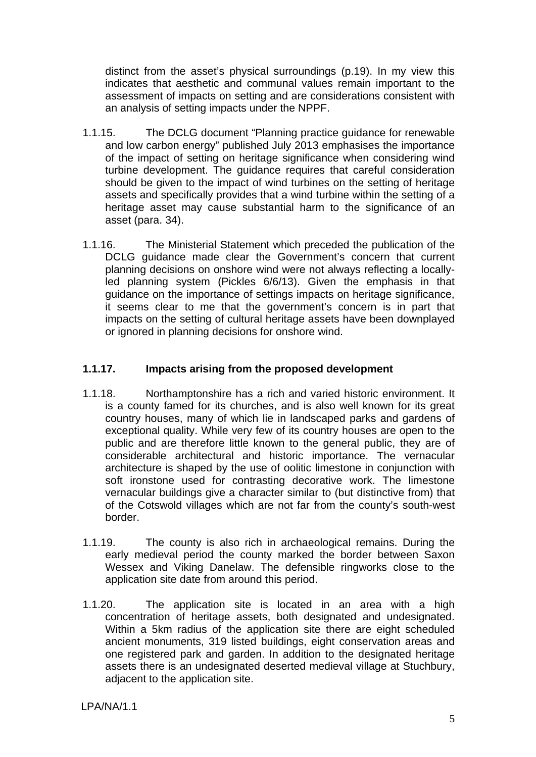distinct from the asset's physical surroundings (p.19). In my view this indicates that aesthetic and communal values remain important to the assessment of impacts on setting and are considerations consistent with an analysis of setting impacts under the NPPF.

- 1.1.15. The DCLG document "Planning practice guidance for renewable and low carbon energy" published July 2013 emphasises the importance of the impact of setting on heritage significance when considering wind turbine development. The guidance requires that careful consideration should be given to the impact of wind turbines on the setting of heritage assets and specifically provides that a wind turbine within the setting of a heritage asset may cause substantial harm to the significance of an asset (para. 34).
- 1.1.16. The Ministerial Statement which preceded the publication of the DCLG guidance made clear the Government's concern that current planning decisions on onshore wind were not always reflecting a locallyled planning system (Pickles 6/6/13). Given the emphasis in that guidance on the importance of settings impacts on heritage significance, it seems clear to me that the government's concern is in part that impacts on the setting of cultural heritage assets have been downplayed or ignored in planning decisions for onshore wind.

## **1.1.17. Impacts arising from the proposed development**

- 1.1.18. Northamptonshire has a rich and varied historic environment. It is a county famed for its churches, and is also well known for its great country houses, many of which lie in landscaped parks and gardens of exceptional quality. While very few of its country houses are open to the public and are therefore little known to the general public, they are of considerable architectural and historic importance. The vernacular architecture is shaped by the use of oolitic limestone in conjunction with soft ironstone used for contrasting decorative work. The limestone vernacular buildings give a character similar to (but distinctive from) that of the Cotswold villages which are not far from the county's south-west border.
- 1.1.19. The county is also rich in archaeological remains. During the early medieval period the county marked the border between Saxon Wessex and Viking Danelaw. The defensible ringworks close to the application site date from around this period.
- 1.1.20. The application site is located in an area with a high concentration of heritage assets, both designated and undesignated. Within a 5km radius of the application site there are eight scheduled ancient monuments, 319 listed buildings, eight conservation areas and one registered park and garden. In addition to the designated heritage assets there is an undesignated deserted medieval village at Stuchbury, adjacent to the application site.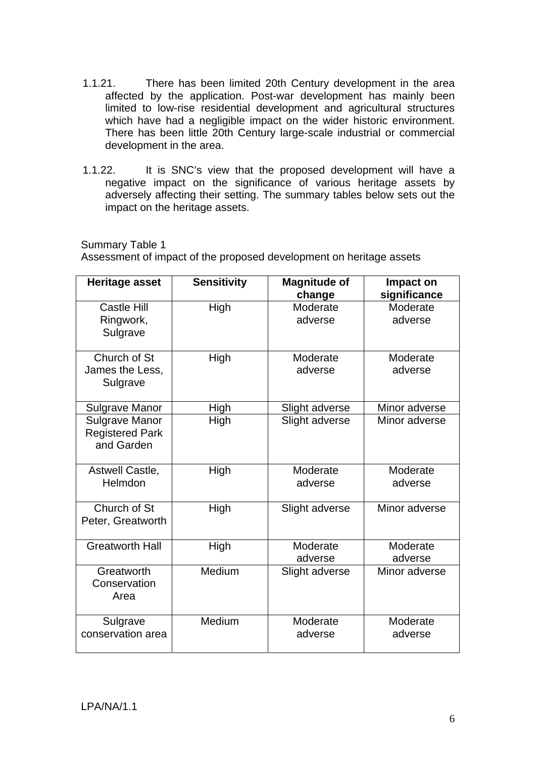- 1.1.21. There has been limited 20th Century development in the area affected by the application. Post-war development has mainly been limited to low-rise residential development and agricultural structures which have had a negligible impact on the wider historic environment. There has been little 20th Century large-scale industrial or commercial development in the area.
- 1.1.22. It is SNC's view that the proposed development will have a negative impact on the significance of various heritage assets by adversely affecting their setting. The summary tables below sets out the impact on the heritage assets.

Summary Table 1

Assessment of impact of the proposed development on heritage assets

| <b>Heritage asset</b>                                         | <b>Sensitivity</b> | <b>Magnitude of</b><br>change | Impact on<br>significance |
|---------------------------------------------------------------|--------------------|-------------------------------|---------------------------|
| <b>Castle Hill</b><br>Ringwork,<br>Sulgrave                   | High               | Moderate<br>adverse           | Moderate<br>adverse       |
| Church of St<br>James the Less,<br>Sulgrave                   | High               | Moderate<br>adverse           | Moderate<br>adverse       |
| <b>Sulgrave Manor</b>                                         | High               | Slight adverse                | Minor adverse             |
| <b>Sulgrave Manor</b><br><b>Registered Park</b><br>and Garden | High               | Slight adverse                | Minor adverse             |
| Astwell Castle,<br>Helmdon                                    | High               | Moderate<br>adverse           | Moderate<br>adverse       |
| Church of St<br>Peter, Greatworth                             | High               | Slight adverse                | Minor adverse             |
| <b>Greatworth Hall</b>                                        | High               | Moderate<br>adverse           | Moderate<br>adverse       |
| Greatworth<br>Conservation<br>Area                            | Medium             | Slight adverse                | Minor adverse             |
| Sulgrave<br>conservation area                                 | Medium             | Moderate<br>adverse           | Moderate<br>adverse       |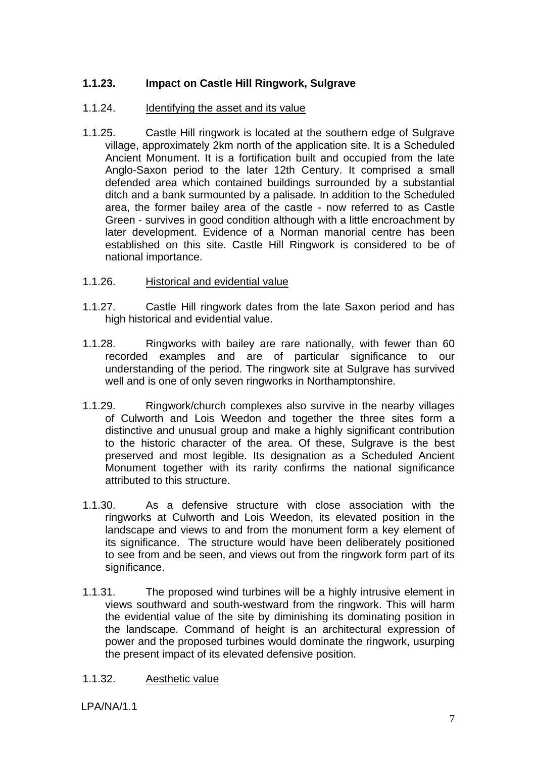## **1.1.23. Impact on Castle Hill Ringwork, Sulgrave**

#### 1.1.24. Identifying the asset and its value

- 1.1.25. Castle Hill ringwork is located at the southern edge of Sulgrave village, approximately 2km north of the application site. It is a Scheduled Ancient Monument. It is a fortification built and occupied from the late Anglo-Saxon period to the later 12th Century. It comprised a small defended area which contained buildings surrounded by a substantial ditch and a bank surmounted by a palisade. In addition to the Scheduled area, the former bailey area of the castle - now referred to as Castle Green - survives in good condition although with a little encroachment by later development. Evidence of a Norman manorial centre has been established on this site. Castle Hill Ringwork is considered to be of national importance.
- 1.1.26. Historical and evidential value
- 1.1.27. Castle Hill ringwork dates from the late Saxon period and has high historical and evidential value.
- 1.1.28. Ringworks with bailey are rare nationally, with fewer than 60 recorded examples and are of particular significance to our understanding of the period. The ringwork site at Sulgrave has survived well and is one of only seven ringworks in Northamptonshire.
- 1.1.29. Ringwork/church complexes also survive in the nearby villages of Culworth and Lois Weedon and together the three sites form a distinctive and unusual group and make a highly significant contribution to the historic character of the area. Of these, Sulgrave is the best preserved and most legible. Its designation as a Scheduled Ancient Monument together with its rarity confirms the national significance attributed to this structure.
- 1.1.30. As a defensive structure with close association with the ringworks at Culworth and Lois Weedon, its elevated position in the landscape and views to and from the monument form a key element of its significance. The structure would have been deliberately positioned to see from and be seen, and views out from the ringwork form part of its significance.
- 1.1.31. The proposed wind turbines will be a highly intrusive element in views southward and south-westward from the ringwork. This will harm the evidential value of the site by diminishing its dominating position in the landscape. Command of height is an architectural expression of power and the proposed turbines would dominate the ringwork, usurping the present impact of its elevated defensive position.
- 1.1.32. Aesthetic value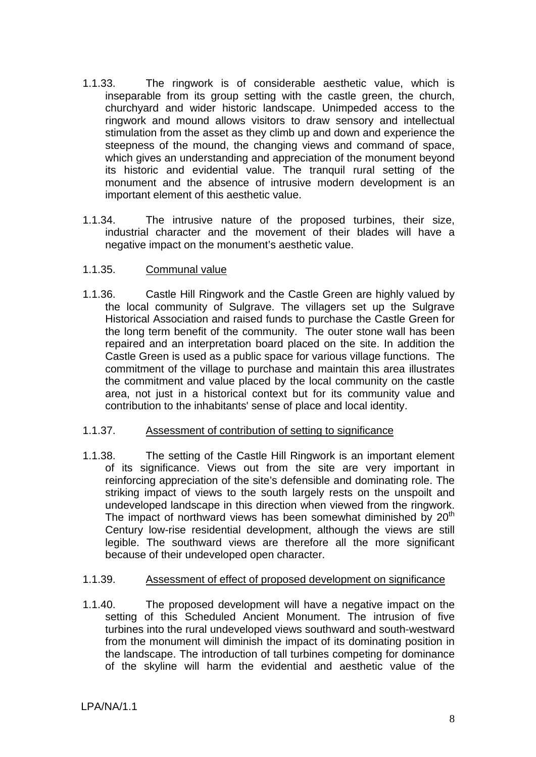- 1.1.33. The ringwork is of considerable aesthetic value, which is inseparable from its group setting with the castle green, the church, churchyard and wider historic landscape. Unimpeded access to the ringwork and mound allows visitors to draw sensory and intellectual stimulation from the asset as they climb up and down and experience the steepness of the mound, the changing views and command of space, which gives an understanding and appreciation of the monument beyond its historic and evidential value. The tranquil rural setting of the monument and the absence of intrusive modern development is an important element of this aesthetic value.
- 1.1.34. The intrusive nature of the proposed turbines, their size, industrial character and the movement of their blades will have a negative impact on the monument's aesthetic value.

## 1.1.35. Communal value

1.1.36. Castle Hill Ringwork and the Castle Green are highly valued by the local community of Sulgrave. The villagers set up the Sulgrave Historical Association and raised funds to purchase the Castle Green for the long term benefit of the community. The outer stone wall has been repaired and an interpretation board placed on the site. In addition the Castle Green is used as a public space for various village functions. The commitment of the village to purchase and maintain this area illustrates the commitment and value placed by the local community on the castle area, not just in a historical context but for its community value and contribution to the inhabitants' sense of place and local identity.

#### 1.1.37. Assessment of contribution of setting to significance

1.1.38. The setting of the Castle Hill Ringwork is an important element of its significance. Views out from the site are very important in reinforcing appreciation of the site's defensible and dominating role. The striking impact of views to the south largely rests on the unspoilt and undeveloped landscape in this direction when viewed from the ringwork. The impact of northward views has been somewhat diminished by  $20<sup>th</sup>$ Century low-rise residential development, although the views are still legible. The southward views are therefore all the more significant because of their undeveloped open character.

## 1.1.39. Assessment of effect of proposed development on significance

1.1.40. The proposed development will have a negative impact on the setting of this Scheduled Ancient Monument. The intrusion of five turbines into the rural undeveloped views southward and south-westward from the monument will diminish the impact of its dominating position in the landscape. The introduction of tall turbines competing for dominance of the skyline will harm the evidential and aesthetic value of the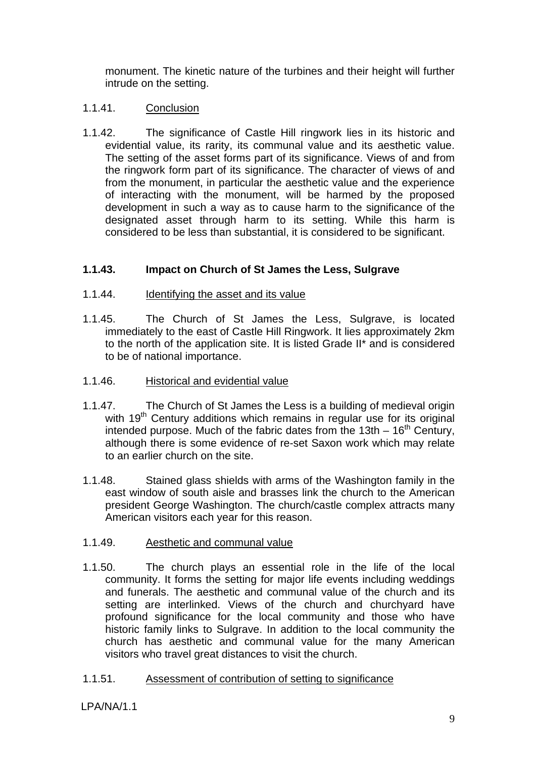monument. The kinetic nature of the turbines and their height will further intrude on the setting.

## 1.1.41. Conclusion

1.1.42. The significance of Castle Hill ringwork lies in its historic and evidential value, its rarity, its communal value and its aesthetic value. The setting of the asset forms part of its significance. Views of and from the ringwork form part of its significance. The character of views of and from the monument, in particular the aesthetic value and the experience of interacting with the monument, will be harmed by the proposed development in such a way as to cause harm to the significance of the designated asset through harm to its setting. While this harm is considered to be less than substantial, it is considered to be significant.

## **1.1.43. Impact on Church of St James the Less, Sulgrave**

#### 1.1.44. Identifying the asset and its value

- 1.1.45. The Church of St James the Less, Sulgrave, is located immediately to the east of Castle Hill Ringwork. It lies approximately 2km to the north of the application site. It is listed Grade II\* and is considered to be of national importance.
- 1.1.46. Historical and evidential value
- 1.1.47. The Church of St James the Less is a building of medieval origin with 19<sup>th</sup> Century additions which remains in regular use for its original intended purpose. Much of the fabric dates from the 13th  $-16<sup>th</sup>$  Century, although there is some evidence of re-set Saxon work which may relate to an earlier church on the site.
- 1.1.48. Stained glass shields with arms of the Washington family in the east window of south aisle and brasses link the church to the American president George Washington. The church/castle complex attracts many American visitors each year for this reason.

## 1.1.49. Aesthetic and communal value

1.1.50. The church plays an essential role in the life of the local community. It forms the setting for major life events including weddings and funerals. The aesthetic and communal value of the church and its setting are interlinked. Views of the church and churchyard have profound significance for the local community and those who have historic family links to Sulgrave. In addition to the local community the church has aesthetic and communal value for the many American visitors who travel great distances to visit the church.

## 1.1.51. Assessment of contribution of setting to significance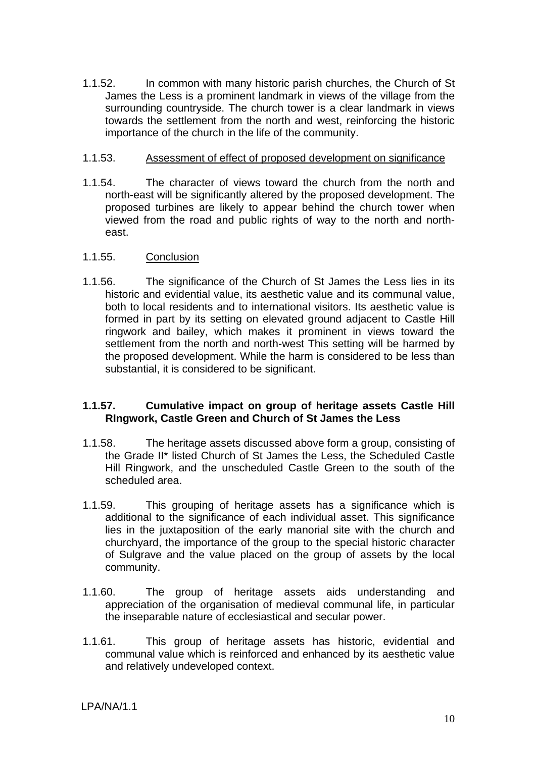1.1.52. In common with many historic parish churches, the Church of St James the Less is a prominent landmark in views of the village from the surrounding countryside. The church tower is a clear landmark in views towards the settlement from the north and west, reinforcing the historic importance of the church in the life of the community.

#### 1.1.53. Assessment of effect of proposed development on significance

1.1.54. The character of views toward the church from the north and north-east will be significantly altered by the proposed development. The proposed turbines are likely to appear behind the church tower when viewed from the road and public rights of way to the north and northeast.

## 1.1.55. Conclusion

1.1.56. The significance of the Church of St James the Less lies in its historic and evidential value, its aesthetic value and its communal value, both to local residents and to international visitors. Its aesthetic value is formed in part by its setting on elevated ground adjacent to Castle Hill ringwork and bailey, which makes it prominent in views toward the settlement from the north and north-west This setting will be harmed by the proposed development. While the harm is considered to be less than substantial, it is considered to be significant.

## **1.1.57. Cumulative impact on group of heritage assets Castle Hill RIngwork, Castle Green and Church of St James the Less**

- 1.1.58. The heritage assets discussed above form a group, consisting of the Grade II\* listed Church of St James the Less, the Scheduled Castle Hill Ringwork, and the unscheduled Castle Green to the south of the scheduled area.
- 1.1.59. This grouping of heritage assets has a significance which is additional to the significance of each individual asset. This significance lies in the juxtaposition of the early manorial site with the church and churchyard, the importance of the group to the special historic character of Sulgrave and the value placed on the group of assets by the local community.
- 1.1.60. The group of heritage assets aids understanding and appreciation of the organisation of medieval communal life, in particular the inseparable nature of ecclesiastical and secular power.
- 1.1.61. This group of heritage assets has historic, evidential and communal value which is reinforced and enhanced by its aesthetic value and relatively undeveloped context.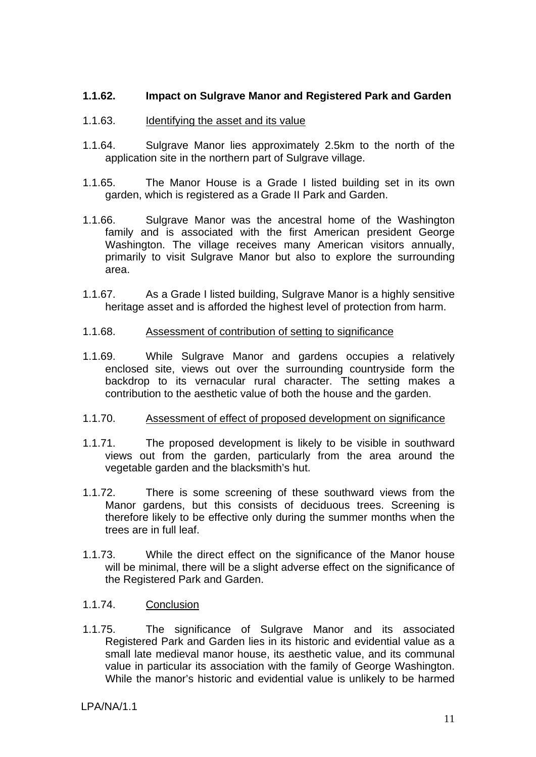#### **1.1.62. Impact on Sulgrave Manor and Registered Park and Garden**

#### 1.1.63. Identifying the asset and its value

- 1.1.64. Sulgrave Manor lies approximately 2.5km to the north of the application site in the northern part of Sulgrave village.
- 1.1.65. The Manor House is a Grade I listed building set in its own garden, which is registered as a Grade II Park and Garden.
- 1.1.66. Sulgrave Manor was the ancestral home of the Washington family and is associated with the first American president George Washington. The village receives many American visitors annually, primarily to visit Sulgrave Manor but also to explore the surrounding area.
- 1.1.67. As a Grade I listed building, Sulgrave Manor is a highly sensitive heritage asset and is afforded the highest level of protection from harm.

#### 1.1.68. Assessment of contribution of setting to significance

1.1.69. While Sulgrave Manor and gardens occupies a relatively enclosed site, views out over the surrounding countryside form the backdrop to its vernacular rural character. The setting makes a contribution to the aesthetic value of both the house and the garden.

#### 1.1.70. Assessment of effect of proposed development on significance

- 1.1.71. The proposed development is likely to be visible in southward views out from the garden, particularly from the area around the vegetable garden and the blacksmith's hut.
- 1.1.72. There is some screening of these southward views from the Manor gardens, but this consists of deciduous trees. Screening is therefore likely to be effective only during the summer months when the trees are in full leaf.
- 1.1.73. While the direct effect on the significance of the Manor house will be minimal, there will be a slight adverse effect on the significance of the Registered Park and Garden.
- 1.1.74. Conclusion
- 1.1.75. The significance of Sulgrave Manor and its associated Registered Park and Garden lies in its historic and evidential value as a small late medieval manor house, its aesthetic value, and its communal value in particular its association with the family of George Washington. While the manor's historic and evidential value is unlikely to be harmed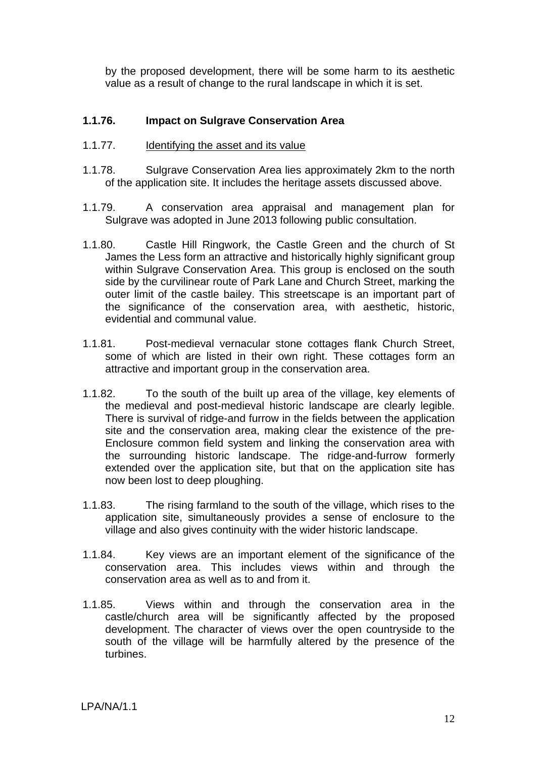by the proposed development, there will be some harm to its aesthetic value as a result of change to the rural landscape in which it is set.

#### **1.1.76. Impact on Sulgrave Conservation Area**

- 1.1.77. Identifying the asset and its value
- 1.1.78. Sulgrave Conservation Area lies approximately 2km to the north of the application site. It includes the heritage assets discussed above.
- 1.1.79. A conservation area appraisal and management plan for Sulgrave was adopted in June 2013 following public consultation.
- 1.1.80. Castle Hill Ringwork, the Castle Green and the church of St James the Less form an attractive and historically highly significant group within Sulgrave Conservation Area. This group is enclosed on the south side by the curvilinear route of Park Lane and Church Street, marking the outer limit of the castle bailey. This streetscape is an important part of the significance of the conservation area, with aesthetic, historic, evidential and communal value.
- 1.1.81. Post-medieval vernacular stone cottages flank Church Street, some of which are listed in their own right. These cottages form an attractive and important group in the conservation area.
- 1.1.82. To the south of the built up area of the village, key elements of the medieval and post-medieval historic landscape are clearly legible. There is survival of ridge-and furrow in the fields between the application site and the conservation area, making clear the existence of the pre-Enclosure common field system and linking the conservation area with the surrounding historic landscape. The ridge-and-furrow formerly extended over the application site, but that on the application site has now been lost to deep ploughing.
- 1.1.83. The rising farmland to the south of the village, which rises to the application site, simultaneously provides a sense of enclosure to the village and also gives continuity with the wider historic landscape.
- 1.1.84. Key views are an important element of the significance of the conservation area. This includes views within and through the conservation area as well as to and from it.
- 1.1.85. Views within and through the conservation area in the castle/church area will be significantly affected by the proposed development. The character of views over the open countryside to the south of the village will be harmfully altered by the presence of the turbines.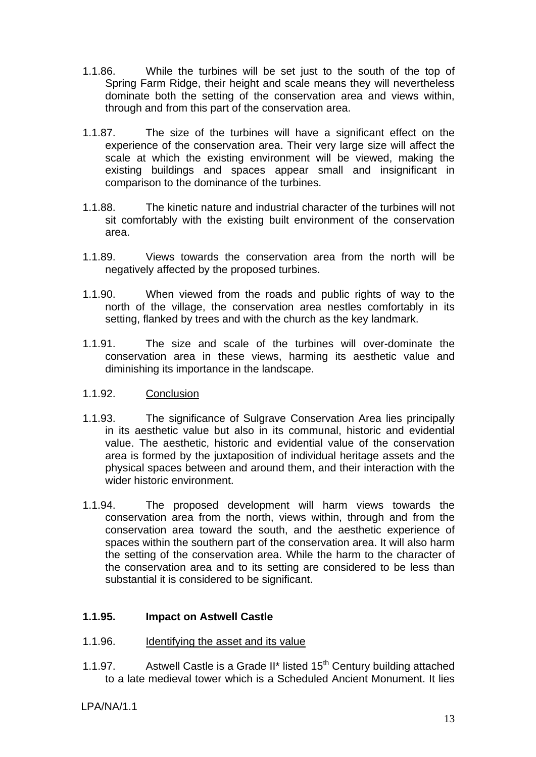- 1.1.86. While the turbines will be set just to the south of the top of Spring Farm Ridge, their height and scale means they will nevertheless dominate both the setting of the conservation area and views within, through and from this part of the conservation area.
- 1.1.87. The size of the turbines will have a significant effect on the experience of the conservation area. Their very large size will affect the scale at which the existing environment will be viewed, making the existing buildings and spaces appear small and insignificant in comparison to the dominance of the turbines.
- 1.1.88. The kinetic nature and industrial character of the turbines will not sit comfortably with the existing built environment of the conservation area.
- 1.1.89. Views towards the conservation area from the north will be negatively affected by the proposed turbines.
- 1.1.90. When viewed from the roads and public rights of way to the north of the village, the conservation area nestles comfortably in its setting, flanked by trees and with the church as the key landmark.
- 1.1.91. The size and scale of the turbines will over-dominate the conservation area in these views, harming its aesthetic value and diminishing its importance in the landscape.

## 1.1.92. Conclusion

- 1.1.93. The significance of Sulgrave Conservation Area lies principally in its aesthetic value but also in its communal, historic and evidential value. The aesthetic, historic and evidential value of the conservation area is formed by the juxtaposition of individual heritage assets and the physical spaces between and around them, and their interaction with the wider historic environment.
- 1.1.94. The proposed development will harm views towards the conservation area from the north, views within, through and from the conservation area toward the south, and the aesthetic experience of spaces within the southern part of the conservation area. It will also harm the setting of the conservation area. While the harm to the character of the conservation area and to its setting are considered to be less than substantial it is considered to be significant.

## **1.1.95. Impact on Astwell Castle**

- 1.1.96. Identifying the asset and its value
- 1.1.97. Astwell Castle is a Grade II<sup>\*</sup> listed  $15<sup>th</sup>$  Century building attached to a late medieval tower which is a Scheduled Ancient Monument. It lies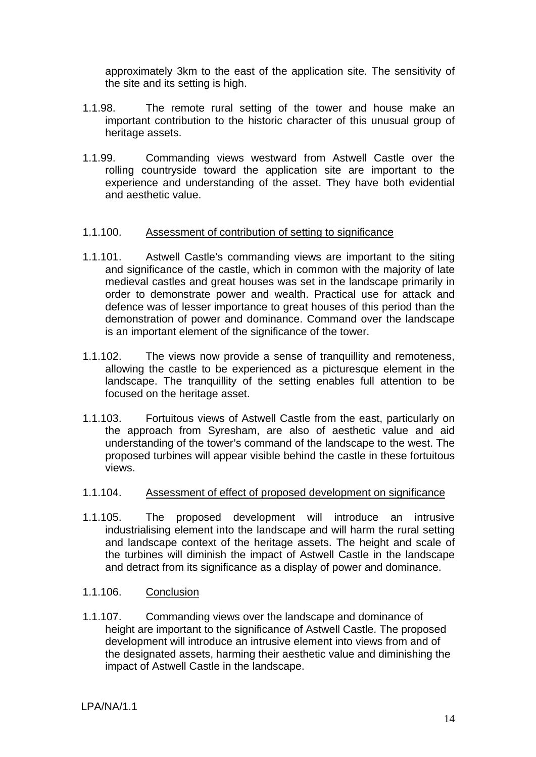approximately 3km to the east of the application site. The sensitivity of the site and its setting is high.

- 1.1.98. The remote rural setting of the tower and house make an important contribution to the historic character of this unusual group of heritage assets.
- 1.1.99. Commanding views westward from Astwell Castle over the rolling countryside toward the application site are important to the experience and understanding of the asset. They have both evidential and aesthetic value.

#### 1.1.100. Assessment of contribution of setting to significance

- 1.1.101. Astwell Castle's commanding views are important to the siting and significance of the castle, which in common with the majority of late medieval castles and great houses was set in the landscape primarily in order to demonstrate power and wealth. Practical use for attack and defence was of lesser importance to great houses of this period than the demonstration of power and dominance. Command over the landscape is an important element of the significance of the tower.
- 1.1.102. The views now provide a sense of tranquillity and remoteness, allowing the castle to be experienced as a picturesque element in the landscape. The tranquillity of the setting enables full attention to be focused on the heritage asset.
- 1.1.103. Fortuitous views of Astwell Castle from the east, particularly on the approach from Syresham, are also of aesthetic value and aid understanding of the tower's command of the landscape to the west. The proposed turbines will appear visible behind the castle in these fortuitous views.

#### 1.1.104. Assessment of effect of proposed development on significance

- 1.1.105. The proposed development will introduce an intrusive industrialising element into the landscape and will harm the rural setting and landscape context of the heritage assets. The height and scale of the turbines will diminish the impact of Astwell Castle in the landscape and detract from its significance as a display of power and dominance.
- 1.1.106. Conclusion
- 1.1.107. Commanding views over the landscape and dominance of height are important to the significance of Astwell Castle. The proposed development will introduce an intrusive element into views from and of the designated assets, harming their aesthetic value and diminishing the impact of Astwell Castle in the landscape.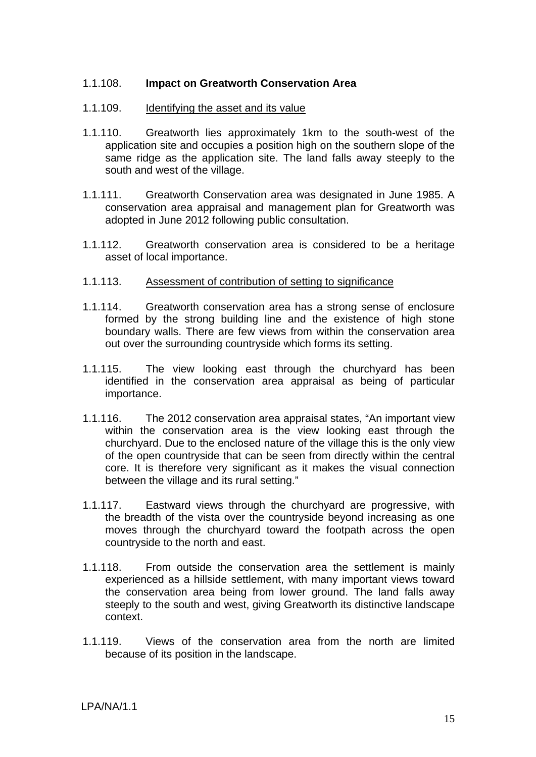#### 1.1.108. **Impact on Greatworth Conservation Area**

#### 1.1.109. Identifying the asset and its value

- 1.1.110. Greatworth lies approximately 1km to the south-west of the application site and occupies a position high on the southern slope of the same ridge as the application site. The land falls away steeply to the south and west of the village.
- 1.1.111. Greatworth Conservation area was designated in June 1985. A conservation area appraisal and management plan for Greatworth was adopted in June 2012 following public consultation.
- 1.1.112. Greatworth conservation area is considered to be a heritage asset of local importance.
- 1.1.113. Assessment of contribution of setting to significance
- 1.1.114. Greatworth conservation area has a strong sense of enclosure formed by the strong building line and the existence of high stone boundary walls. There are few views from within the conservation area out over the surrounding countryside which forms its setting.
- 1.1.115. The view looking east through the churchyard has been identified in the conservation area appraisal as being of particular importance.
- 1.1.116. The 2012 conservation area appraisal states, "An important view within the conservation area is the view looking east through the churchyard. Due to the enclosed nature of the village this is the only view of the open countryside that can be seen from directly within the central core. It is therefore very significant as it makes the visual connection between the village and its rural setting."
- 1.1.117. Eastward views through the churchyard are progressive, with the breadth of the vista over the countryside beyond increasing as one moves through the churchyard toward the footpath across the open countryside to the north and east.
- 1.1.118. From outside the conservation area the settlement is mainly experienced as a hillside settlement, with many important views toward the conservation area being from lower ground. The land falls away steeply to the south and west, giving Greatworth its distinctive landscape context.
- 1.1.119. Views of the conservation area from the north are limited because of its position in the landscape.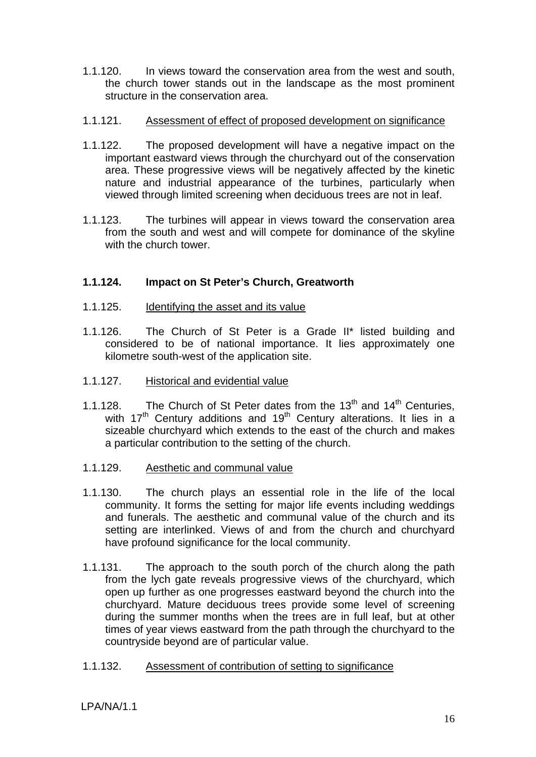1.1.120. In views toward the conservation area from the west and south, the church tower stands out in the landscape as the most prominent structure in the conservation area.

#### 1.1.121. Assessment of effect of proposed development on significance

- 1.1.122. The proposed development will have a negative impact on the important eastward views through the churchyard out of the conservation area. These progressive views will be negatively affected by the kinetic nature and industrial appearance of the turbines, particularly when viewed through limited screening when deciduous trees are not in leaf.
- 1.1.123. The turbines will appear in views toward the conservation area from the south and west and will compete for dominance of the skyline with the church tower.

## **1.1.124. Impact on St Peter's Church, Greatworth**

- 1.1.125. Identifying the asset and its value
- 1.1.126. The Church of St Peter is a Grade II\* listed building and considered to be of national importance. It lies approximately one kilometre south-west of the application site.
- 1.1.127. Historical and evidential value
- 1.1.128. The Church of St Peter dates from the  $13<sup>th</sup>$  and  $14<sup>th</sup>$  Centuries, with  $17<sup>th</sup>$  Century additions and  $19<sup>th</sup>$  Century alterations. It lies in a sizeable churchyard which extends to the east of the church and makes a particular contribution to the setting of the church.
- 1.1.129. Aesthetic and communal value
- 1.1.130. The church plays an essential role in the life of the local community. It forms the setting for major life events including weddings and funerals. The aesthetic and communal value of the church and its setting are interlinked. Views of and from the church and churchyard have profound significance for the local community.
- 1.1.131. The approach to the south porch of the church along the path from the lych gate reveals progressive views of the churchyard, which open up further as one progresses eastward beyond the church into the churchyard. Mature deciduous trees provide some level of screening during the summer months when the trees are in full leaf, but at other times of year views eastward from the path through the churchyard to the countryside beyond are of particular value.
- 1.1.132. Assessment of contribution of setting to significance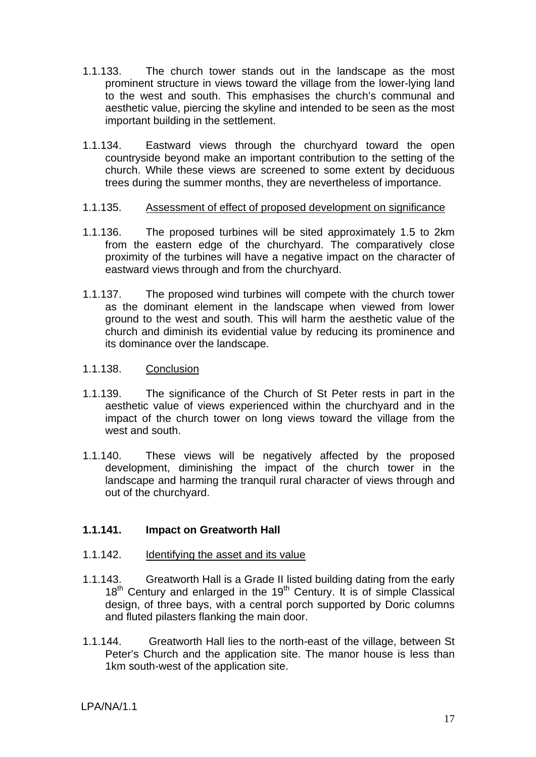- 1.1.133. The church tower stands out in the landscape as the most prominent structure in views toward the village from the lower-lying land to the west and south. This emphasises the church's communal and aesthetic value, piercing the skyline and intended to be seen as the most important building in the settlement.
- 1.1.134. Eastward views through the churchyard toward the open countryside beyond make an important contribution to the setting of the church. While these views are screened to some extent by deciduous trees during the summer months, they are nevertheless of importance.

#### 1.1.135. Assessment of effect of proposed development on significance

- 1.1.136. The proposed turbines will be sited approximately 1.5 to 2km from the eastern edge of the churchyard. The comparatively close proximity of the turbines will have a negative impact on the character of eastward views through and from the churchyard.
- 1.1.137. The proposed wind turbines will compete with the church tower as the dominant element in the landscape when viewed from lower ground to the west and south. This will harm the aesthetic value of the church and diminish its evidential value by reducing its prominence and its dominance over the landscape.
- 1.1.138. Conclusion
- 1.1.139. The significance of the Church of St Peter rests in part in the aesthetic value of views experienced within the churchyard and in the impact of the church tower on long views toward the village from the west and south.
- 1.1.140. These views will be negatively affected by the proposed development, diminishing the impact of the church tower in the landscape and harming the tranquil rural character of views through and out of the churchyard.

## **1.1.141. Impact on Greatworth Hall**

## 1.1.142. Identifying the asset and its value

- 1.1.143. Greatworth Hall is a Grade II listed building dating from the early  $18<sup>th</sup>$  Century and enlarged in the  $19<sup>th</sup>$  Century. It is of simple Classical design, of three bays, with a central porch supported by Doric columns and fluted pilasters flanking the main door.
- 1.1.144. Greatworth Hall lies to the north-east of the village, between St Peter's Church and the application site. The manor house is less than 1km south-west of the application site.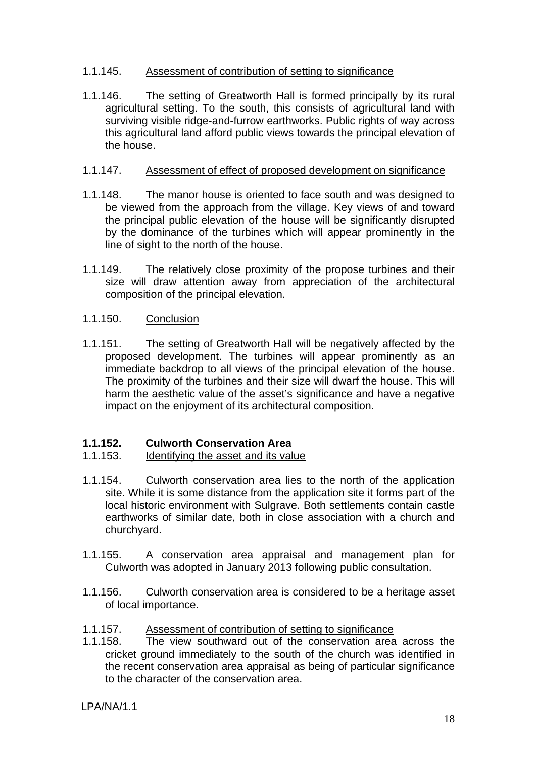## 1.1.145. Assessment of contribution of setting to significance

1.1.146. The setting of Greatworth Hall is formed principally by its rural agricultural setting. To the south, this consists of agricultural land with surviving visible ridge-and-furrow earthworks. Public rights of way across this agricultural land afford public views towards the principal elevation of the house.

## 1.1.147. Assessment of effect of proposed development on significance

- 1.1.148. The manor house is oriented to face south and was designed to be viewed from the approach from the village. Key views of and toward the principal public elevation of the house will be significantly disrupted by the dominance of the turbines which will appear prominently in the line of sight to the north of the house.
- 1.1.149. The relatively close proximity of the propose turbines and their size will draw attention away from appreciation of the architectural composition of the principal elevation.

## 1.1.150. Conclusion

1.1.151. The setting of Greatworth Hall will be negatively affected by the proposed development. The turbines will appear prominently as an immediate backdrop to all views of the principal elevation of the house. The proximity of the turbines and their size will dwarf the house. This will harm the aesthetic value of the asset's significance and have a negative impact on the enjoyment of its architectural composition.

## **1.1.152. Culworth Conservation Area**

## 1.1.153. Identifying the asset and its value

- 1.1.154. Culworth conservation area lies to the north of the application site. While it is some distance from the application site it forms part of the local historic environment with Sulgrave. Both settlements contain castle earthworks of similar date, both in close association with a church and churchyard.
- 1.1.155. A conservation area appraisal and management plan for Culworth was adopted in January 2013 following public consultation.
- 1.1.156. Culworth conservation area is considered to be a heritage asset of local importance.
- 1.1.157. Assessment of contribution of setting to significance
- 1.1.158. The view southward out of the conservation area across the cricket ground immediately to the south of the church was identified in the recent conservation area appraisal as being of particular significance to the character of the conservation area.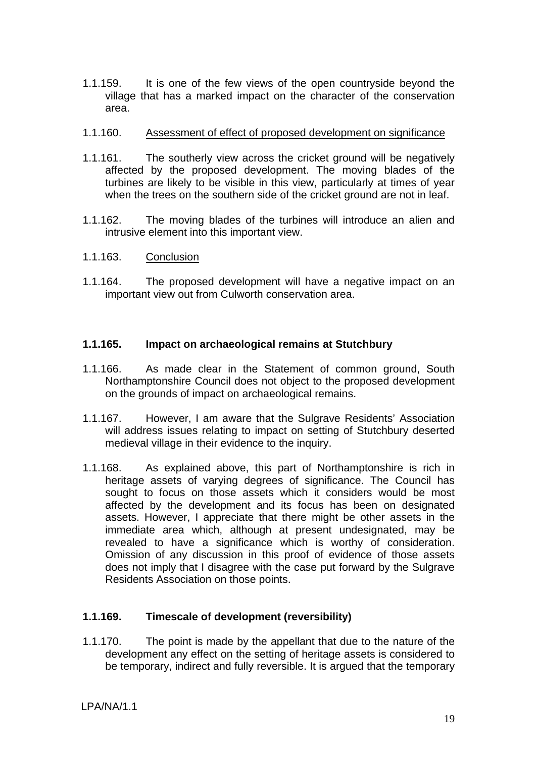1.1.159. It is one of the few views of the open countryside beyond the village that has a marked impact on the character of the conservation area.

#### 1.1.160. Assessment of effect of proposed development on significance

- 1.1.161. The southerly view across the cricket ground will be negatively affected by the proposed development. The moving blades of the turbines are likely to be visible in this view, particularly at times of year when the trees on the southern side of the cricket ground are not in leaf.
- 1.1.162. The moving blades of the turbines will introduce an alien and intrusive element into this important view.
- 1.1.163. Conclusion
- 1.1.164. The proposed development will have a negative impact on an important view out from Culworth conservation area.

## **1.1.165. Impact on archaeological remains at Stutchbury**

- 1.1.166. As made clear in the Statement of common ground, South Northamptonshire Council does not object to the proposed development on the grounds of impact on archaeological remains.
- 1.1.167. However, I am aware that the Sulgrave Residents' Association will address issues relating to impact on setting of Stutchbury deserted medieval village in their evidence to the inquiry.
- 1.1.168. As explained above, this part of Northamptonshire is rich in heritage assets of varying degrees of significance. The Council has sought to focus on those assets which it considers would be most affected by the development and its focus has been on designated assets. However, I appreciate that there might be other assets in the immediate area which, although at present undesignated, may be revealed to have a significance which is worthy of consideration. Omission of any discussion in this proof of evidence of those assets does not imply that I disagree with the case put forward by the Sulgrave Residents Association on those points.

## **1.1.169. Timescale of development (reversibility)**

1.1.170. The point is made by the appellant that due to the nature of the development any effect on the setting of heritage assets is considered to be temporary, indirect and fully reversible. It is argued that the temporary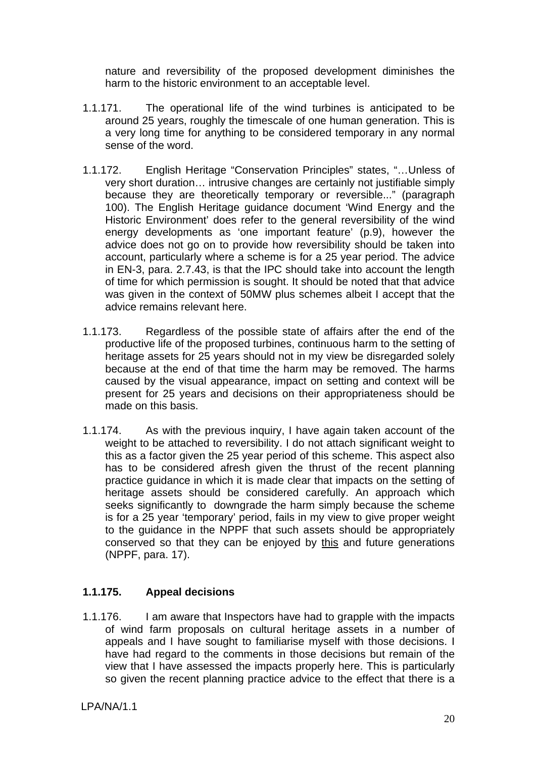nature and reversibility of the proposed development diminishes the harm to the historic environment to an acceptable level.

- 1.1.171. The operational life of the wind turbines is anticipated to be around 25 years, roughly the timescale of one human generation. This is a very long time for anything to be considered temporary in any normal sense of the word.
- 1.1.172. English Heritage "Conservation Principles" states, "…Unless of very short duration… intrusive changes are certainly not justifiable simply because they are theoretically temporary or reversible..." (paragraph 100). The English Heritage guidance document 'Wind Energy and the Historic Environment' does refer to the general reversibility of the wind energy developments as 'one important feature' (p.9), however the advice does not go on to provide how reversibility should be taken into account, particularly where a scheme is for a 25 year period. The advice in EN-3, para. 2.7.43, is that the IPC should take into account the length of time for which permission is sought. It should be noted that that advice was given in the context of 50MW plus schemes albeit I accept that the advice remains relevant here.
- 1.1.173. Regardless of the possible state of affairs after the end of the productive life of the proposed turbines, continuous harm to the setting of heritage assets for 25 years should not in my view be disregarded solely because at the end of that time the harm may be removed. The harms caused by the visual appearance, impact on setting and context will be present for 25 years and decisions on their appropriateness should be made on this basis.
- 1.1.174. As with the previous inquiry, I have again taken account of the weight to be attached to reversibility. I do not attach significant weight to this as a factor given the 25 year period of this scheme. This aspect also has to be considered afresh given the thrust of the recent planning practice guidance in which it is made clear that impacts on the setting of heritage assets should be considered carefully. An approach which seeks significantly to downgrade the harm simply because the scheme is for a 25 year 'temporary' period, fails in my view to give proper weight to the guidance in the NPPF that such assets should be appropriately conserved so that they can be enjoyed by this and future generations (NPPF, para. 17).

## **1.1.175. Appeal decisions**

1.1.176. I am aware that Inspectors have had to grapple with the impacts of wind farm proposals on cultural heritage assets in a number of appeals and I have sought to familiarise myself with those decisions. I have had regard to the comments in those decisions but remain of the view that I have assessed the impacts properly here. This is particularly so given the recent planning practice advice to the effect that there is a